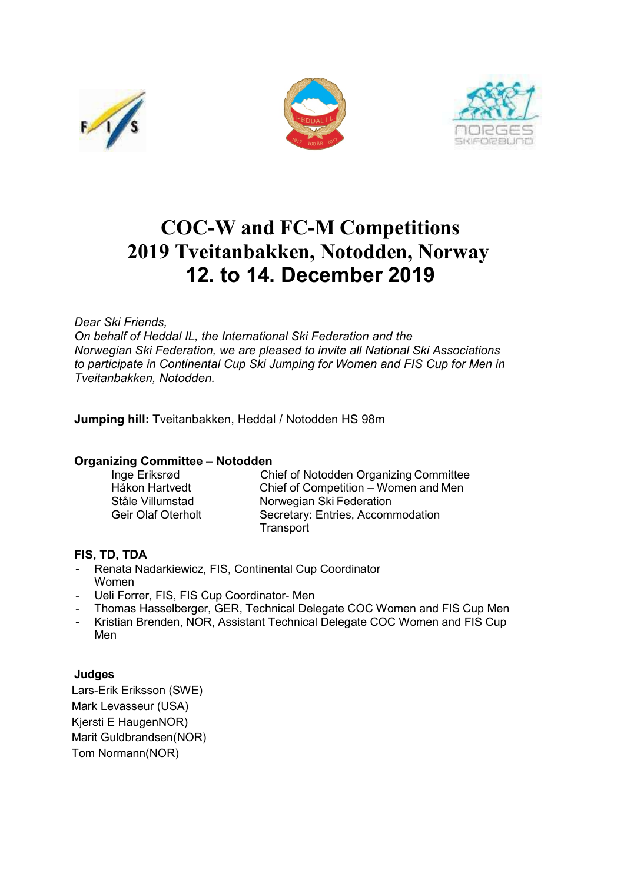





# **COC-W and FC-M Competitions 2019 Tveitanbakken, Notodden, Norway 12. to 14. December 2019**

# *Dear Ski Friends,*

*On behalf of Heddal IL, the International Ski Federation and the Norwegian Ski Federation, we are pleased to invite all National Ski Associations to participate in Continental Cup Ski Jumping for Women and FIS Cup for Men in Tveitanbakken, Notodden.*

**Jumping hill:** Tveitanbakken, Heddal / Notodden HS 98m

#### **Organizing Committee – Notodden**

| Inge Eriksrød             | <b>Chief of Notodden Organizing Committee</b> |
|---------------------------|-----------------------------------------------|
| Håkon Hartvedt            | Chief of Competition – Women and Men          |
| Ståle Villumstad          | Norwegian Ski Federation                      |
| <b>Geir Olaf Oterholt</b> | Secretary: Entries, Accommodation             |
|                           | Transport                                     |

#### **FIS, TD, TDA**

- Renata Nadarkiewicz, FIS, Continental Cup Coordinator Women
- Ueli Forrer, FIS, FIS Cup Coordinator- Men
- Thomas Hasselberger, GER, Technical Delegate COC Women and FIS Cup Men
- Kristian Brenden, NOR, Assistant Technical Delegate COC Women and FIS Cup Men

# **Judges**

Lars-Erik Eriksson (SWE) Mark Levasseur (USA) Kjersti E HaugenNOR) Marit Guldbrandsen(NOR) Tom Normann(NOR)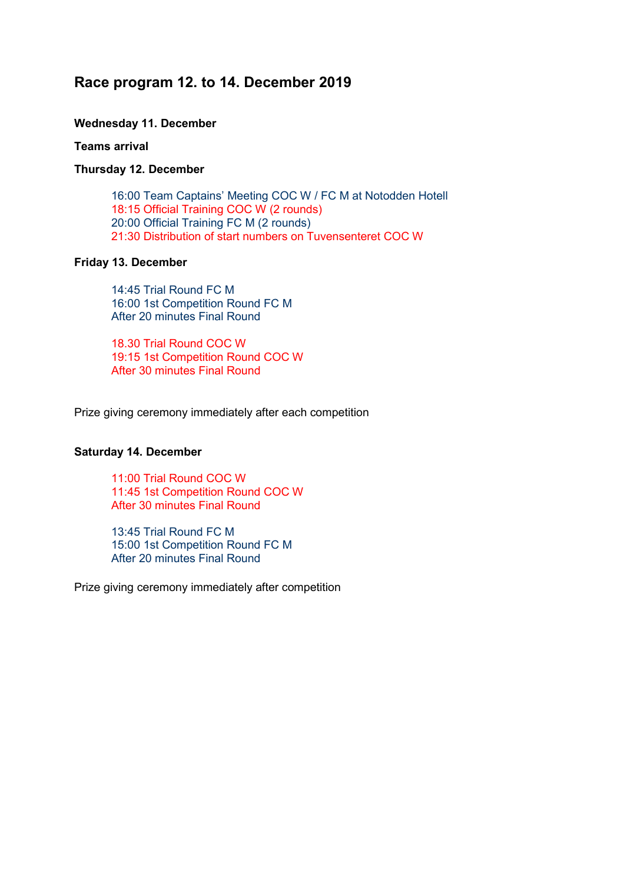# **Race program 12. to 14. December 2019**

# **Wednesday 11. December**

#### **Teams arrival**

#### **Thursday 12. December**

16:00 Team Captains' Meeting COC W / FC M at Notodden Hotell 18:15 Official Training COC W (2 rounds) 20:00 Official Training FC M (2 rounds) 21:30 Distribution of start numbers on Tuvensenteret COC W

## **Friday 13. December**

14:45 Trial Round FC M 16:00 1st Competition Round FC M After 20 minutes Final Round

18.30 Trial Round COC W 19:15 1st Competition Round COC W After 30 minutes Final Round

Prize giving ceremony immediately after each competition

#### **Saturday 14. December**

11:00 Trial Round COC W 11:45 1st Competition Round COC W After 30 minutes Final Round

13:45 Trial Round FC M 15:00 1st Competition Round FC M After 20 minutes Final Round

Prize giving ceremony immediately after competition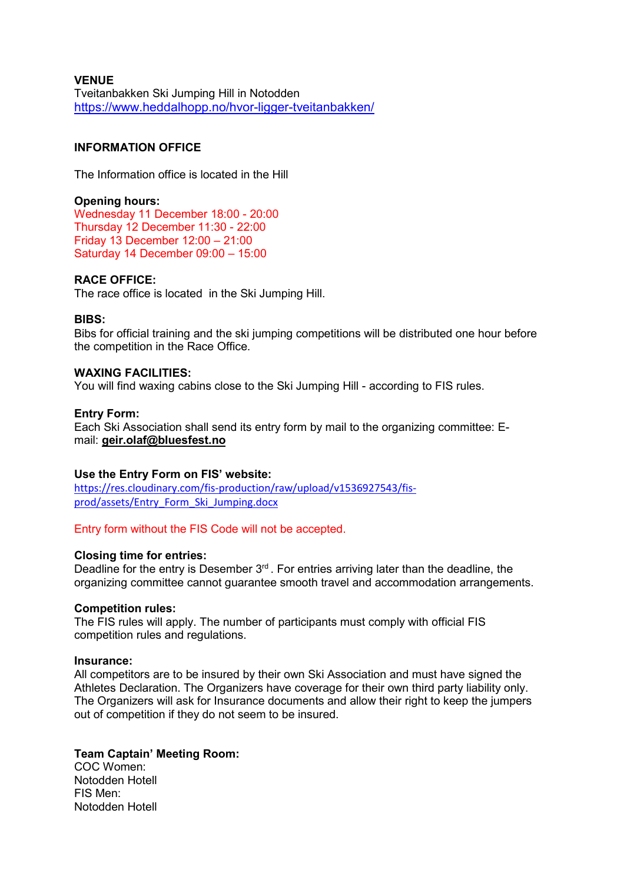#### **VENUE** Tveitanbakken Ski Jumping Hill in Notodden https:/[/www.heddalhopp.no/hvor-ligger-tveitanbakken/](http://www.heddalhopp.no/hvor-ligger-tveitanbakken/)

## **INFORMATION OFFICE**

The Information office is located in the Hill

**Opening hours:** Wednesday 11 December 18:00 - 20:00 Thursday 12 December 11:30 - 22:00 Friday 13 December 12:00 – 21:00 Saturday 14 December 09:00 – 15:00

#### **RACE OFFICE:**

The race office is located in the Ski Jumping Hill.

#### **BIBS:**

Bibs for official training and the ski jumping competitions will be distributed one hour before the competition in the Race Office.

#### **WAXING FACILITIES:**

You will find waxing cabins close to the Ski Jumping Hill - according to FIS rules.

#### **Entry Form:**

Each Ski Association shall send its entry form by mail to the organizing committee: Email: **geir.olaf@bluesfest.no**

#### **Use the Entry Form on FIS' website:**

[https://res.cloudinary.com/fis-production/raw/upload/v1536927543/fis](https://res.cloudinary.com/fis-production/raw/upload/v1536927543/fis-prod/assets/Entry_Form_Ski_Jumping.docx)[prod/assets/Entry\\_Form\\_Ski\\_Jumping.docx](https://res.cloudinary.com/fis-production/raw/upload/v1536927543/fis-prod/assets/Entry_Form_Ski_Jumping.docx)

Entry form without the FIS Code will not be accepted.

#### **Closing time for entries:**

Deadline for the entry is Desember 3<sup>rd</sup>. For entries arriving later than the deadline, the organizing committee cannot guarantee smooth travel and accommodation arrangements.

#### **Competition rules:**

The FIS rules will apply. The number of participants must comply with official FIS competition rules and regulations.

#### **Insurance:**

All competitors are to be insured by their own Ski Association and must have signed the Athletes Declaration. The Organizers have coverage for their own third party liability only. The Organizers will ask for Insurance documents and allow their right to keep the jumpers out of competition if they do not seem to be insured.

#### **Team Captain' Meeting Room:**

COC Women: Notodden Hotell FIS Men: Notodden Hotell